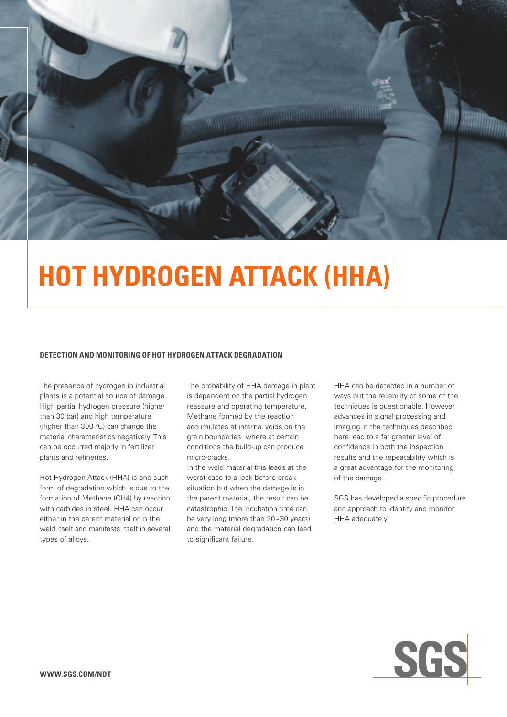

# **Hot Hydrogen Attack (HHA)**

#### **detection and monitoring of hot hydrogen attack degradation**

The presence of hydrogen in industrial plants is a potential source of damage. High partial hydrogen pressure (higher than 30 bar) and high temperature (higher than 300 ºC) can change the material characteristics negatively. This can be occurred majorly in fertilizer plants and refineries.

Hot Hydrogen Attack (HHA) is one such form of degradation which is due to the formation of Methane (CH4) by reaction with carbides in steel. HHA can occur either in the parent material or in the weld itself and manifests itself in several types of alloys.

The probability of HHA damage in plant is dependent on the partial hydrogen reassure and operating temperature. Methane formed by the reaction accumulates at internal voids on the grain boundaries, where at certain conditions the build-up can produce micro-cracks.

In the weld material this leads at the worst case to a leak before break situation but when the damage is in the parent material, the result can be catastrophic. The incubation time can be very long (more than 20~30 years) and the material degradation can lead to significant failure.

HHA can be detected in a number of ways but the reliability of some of the techniques is questionable. However advances in signal processing and imaging in the techniques described here lead to a far greater level of confidence in both the inspection results and the repeatability which is a great advantage for the monitoring of the damage.

SGS has developed a specific procedure and approach to identify and monitor HHA adequately.